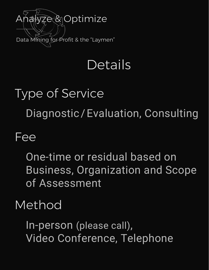

## **Details**

# Type of Service Diagnostic / Evaluation, Consulting

#### Fee

One-time or residual based on Business, Organization and Scope of Assessment

#### Method

In-person (please call), Video Conference, Telephone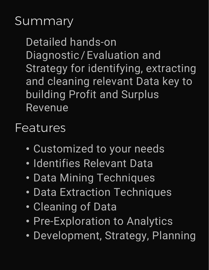### **Summary**

Detailed hands-on Diagnostic/Evaluation and Strategy for identifying, extracting and cleaning relevant Data key to building Profit and Surplus Revenue

#### Features

- Customized to your needs
- Identifies Relevant Data
- Data Mining Techniques
- Data Extraction Techniques
- Cleaning of Data
- Pre-Exploration to Analytics
- Development, Strategy, Planning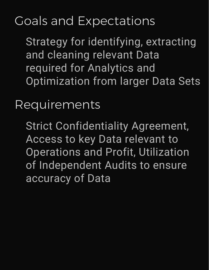## Goals and Expectations

Strategy for identifying, extracting and cleaning relevant Data required for Analytics and Optimization from larger Data Sets

Requirements

Strict Confidentiality Agreement, Access to key Data relevant to Operations and Profit, Utilization of Independent Audits to ensure accuracy of Data